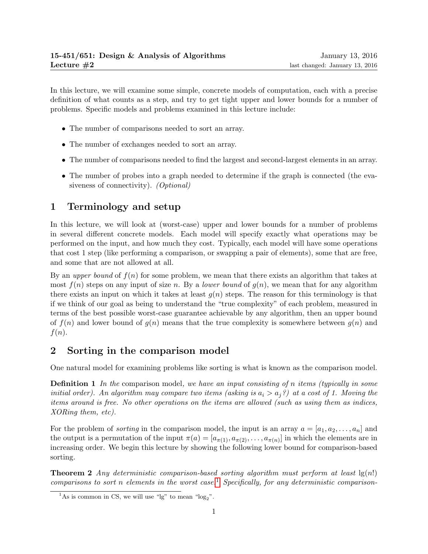In this lecture, we will examine some simple, concrete models of computation, each with a precise definition of what counts as a step, and try to get tight upper and lower bounds for a number of problems. Specific models and problems examined in this lecture include:

- The number of comparisons needed to sort an array.
- The number of exchanges needed to sort an array.
- The number of comparisons needed to find the largest and second-largest elements in an array.
- The number of probes into a graph needed to determine if the graph is connected (the evasiveness of connectivity). (Optional)

## 1 Terminology and setup

In this lecture, we will look at (worst-case) upper and lower bounds for a number of problems in several different concrete models. Each model will specify exactly what operations may be performed on the input, and how much they cost. Typically, each model will have some operations that cost 1 step (like performing a comparison, or swapping a pair of elements), some that are free, and some that are not allowed at all.

By an upper bound of  $f(n)$  for some problem, we mean that there exists an algorithm that takes at most  $f(n)$  steps on any input of size n. By a *lower bound* of  $g(n)$ , we mean that for any algorithm there exists an input on which it takes at least  $g(n)$  steps. The reason for this terminology is that if we think of our goal as being to understand the "true complexity" of each problem, measured in terms of the best possible worst-case guarantee achievable by any algorithm, then an upper bound of  $f(n)$  and lower bound of  $g(n)$  means that the true complexity is somewhere between  $g(n)$  and  $f(n)$ .

## 2 Sorting in the comparison model

One natural model for examining problems like sorting is what is known as the comparison model.

**Definition 1** In the comparison model, we have an input consisting of n items (typically in some initial order). An algorithm may compare two items (asking is  $a_i > a_j$ ?) at a cost of 1. Moving the items around is free. No other operations on the items are allowed (such as using them as indices, XORing them, etc).

For the problem of *sorting* in the comparison model, the input is an array  $a = [a_1, a_2, \ldots, a_n]$  and the output is a permutation of the input  $\pi(a) = [a_{\pi(1)}, a_{\pi(2)}, \dots, a_{\pi(n)}]$  in which the elements are in increasing order. We begin this lecture by showing the following lower bound for comparison-based sorting.

**Theorem 2** Any deterministic comparison-based sorting algorithm must perform at least  $\lg(n!)$ comparisons to sort n elements in the worst case.<sup>[1](#page-0-0)</sup> Specifically, for any deterministic comparison-

<span id="page-0-0"></span><sup>&</sup>lt;sup>1</sup>As is common in CS, we will use "lg" to mean "log<sub>2</sub>".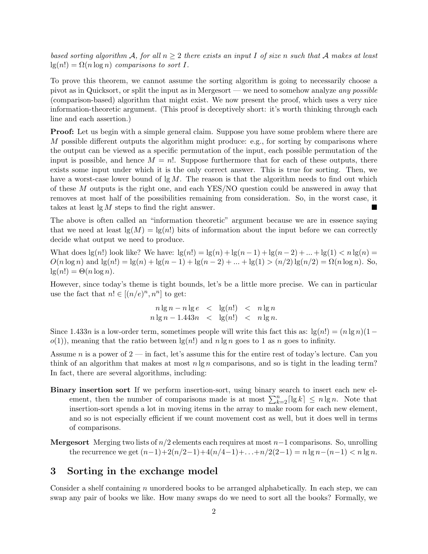based sorting algorithm A, for all  $n \geq 2$  there exists an input I of size n such that A makes at least  $lg(n!) = \Omega(n \log n)$  comparisons to sort I.

To prove this theorem, we cannot assume the sorting algorithm is going to necessarily choose a pivot as in Quicksort, or split the input as in Mergesort — we need to somehow analyze any possible (comparison-based) algorithm that might exist. We now present the proof, which uses a very nice information-theoretic argument. (This proof is deceptively short: it's worth thinking through each line and each assertion.)

**Proof:** Let us begin with a simple general claim. Suppose you have some problem where there are M possible different outputs the algorithm might produce: e.g., for sorting by comparisons where the output can be viewed as a specific permutation of the input, each possible permutation of the input is possible, and hence  $M = n!$ . Suppose furthermore that for each of these outputs, there exists some input under which it is the only correct answer. This is true for sorting. Then, we have a worst-case lower bound of  $\lg M$ . The reason is that the algorithm needs to find out which of these M outputs is the right one, and each YES/NO question could be answered in away that removes at most half of the possibilities remaining from consideration. So, in the worst case, it takes at least  $\lg M$  steps to find the right answer.

The above is often called an "information theoretic" argument because we are in essence saying that we need at least  $\lg(M) = \lg(n!)$  bits of information about the input before we can correctly decide what output we need to produce.

What does  $\lg(n!)$  look like? We have:  $\lg(n!) = \lg(n) + \lg(n-1) + \lg(n-2) + ... + \lg(1) < n \lg(n) =$  $O(n \log n)$  and  $\lg(n!) = \lg(n) + \lg(n-1) + \lg(n-2) + ... + \lg(1) > (n/2) \lg(n/2) = \Omega(n \log n)$ . So,  $lg(n!) = \Theta(n \log n).$ 

However, since today's theme is tight bounds, let's be a little more precise. We can in particular use the fact that  $n! \in [(n/e)^n, n^n]$  to get:

$$
n \lg n - n \lg e \le \lg(n!) \le n \lg n
$$
  

$$
n \lg n - 1.443n \le \lg(n!) \le n \lg n.
$$

Since 1.433n is a low-order term, sometimes people will write this fact this as:  $\lg(n!) = (n \lg n)(1-\pi)$  $o(1)$ , meaning that the ratio between  $\lg(n!)$  and  $n \lg n$  goes to 1 as n goes to infinity.

Assume n is a power of  $2$  — in fact, let's assume this for the entire rest of today's lecture. Can you think of an algorithm that makes at most  $n \lg n$  comparisons, and so is tight in the leading term? In fact, there are several algorithms, including:

- Binary insertion sort If we perform insertion-sort, using binary search to insert each new element, then the number of comparisons made is at most  $\sum_{k=2}^{n} \lceil \lg k \rceil \le n \lg n$ . Note that insertion-sort spends a lot in moving items in the array to make room for each new element, and so is not especially efficient if we count movement cost as well, but it does well in terms of comparisons.
- **Mergesort** Merging two lists of  $n/2$  elements each requires at most  $n-1$  comparisons. So, unrolling the recurrence we get  $(n-1)+2(n/2-1)+4(n/4-1)+...+n/2(2-1) = n \lg n-(n-1) < n \lg n$ .

#### 3 Sorting in the exchange model

Consider a shelf containing  $n$  unordered books to be arranged alphabetically. In each step, we can swap any pair of books we like. How many swaps do we need to sort all the books? Formally, we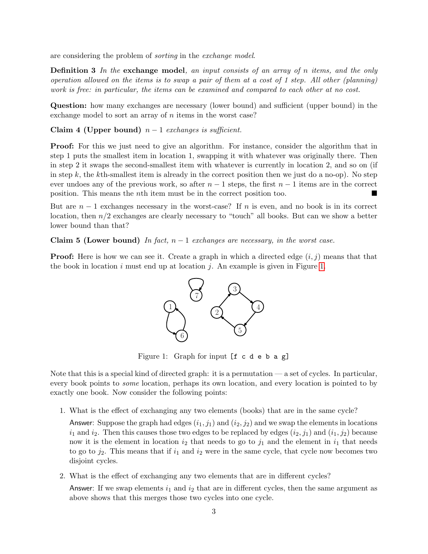are considering the problem of sorting in the exchange model.

**Definition 3** In the exchange model, an input consists of an array of n items, and the only operation allowed on the items is to swap a pair of them at a cost of 1 step. All other (planning) work is free: in particular, the items can be examined and compared to each other at no cost.

Question: how many exchanges are necessary (lower bound) and sufficient (upper bound) in the exchange model to sort an array of  $n$  items in the worst case?

Claim 4 (Upper bound)  $n-1$  exchanges is sufficient.

**Proof:** For this we just need to give an algorithm. For instance, consider the algorithm that in step 1 puts the smallest item in location 1, swapping it with whatever was originally there. Then in step 2 it swaps the second-smallest item with whatever is currently in location 2, and so on (if in step k, the kth-smallest item is already in the correct position then we just do a no-op). No step ever undoes any of the previous work, so after  $n-1$  steps, the first  $n-1$  items are in the correct position. This means the nth item must be in the correct position too.

But are  $n-1$  exchanges necessary in the worst-case? If n is even, and no book is in its correct location, then  $n/2$  exchanges are clearly necessary to "touch" all books. But can we show a better lower bound than that?

Claim 5 (Lower bound) In fact,  $n-1$  exchanges are necessary, in the worst case.

**Proof:** Here is how we can see it. Create a graph in which a directed edge  $(i, j)$  means that that the book in location i must end up at location j. An example is given in Figure [1.](#page-2-0)



<span id="page-2-0"></span>Figure 1: Graph for input [f c d e b a g]

Note that this is a special kind of directed graph: it is a permutation — a set of cycles. In particular, every book points to *some* location, perhaps its own location, and every location is pointed to by exactly one book. Now consider the following points:

1. What is the effect of exchanging any two elements (books) that are in the same cycle?

Answer: Suppose the graph had edges  $(i_1, j_1)$  and  $(i_2, j_2)$  and we swap the elements in locations  $i_1$  and  $i_2$ . Then this causes those two edges to be replaced by edges  $(i_2, j_1)$  and  $(i_1, j_2)$  because now it is the element in location  $i_2$  that needs to go to  $j_1$  and the element in  $i_1$  that needs to go to  $j_2$ . This means that if  $i_1$  and  $i_2$  were in the same cycle, that cycle now becomes two disjoint cycles.

2. What is the effect of exchanging any two elements that are in different cycles?

Answer: If we swap elements  $i_1$  and  $i_2$  that are in different cycles, then the same argument as above shows that this merges those two cycles into one cycle.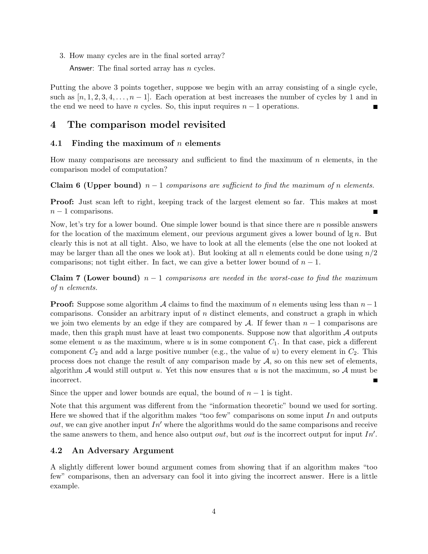3. How many cycles are in the final sorted array?

Answer: The final sorted array has *n* cycles.

Putting the above 3 points together, suppose we begin with an array consisting of a single cycle, such as  $[n, 1, 2, 3, 4, \ldots, n-1]$ . Each operation at best increases the number of cycles by 1 and in the end we need to have n cycles. So, this input requires  $n - 1$  operations.

## 4 The comparison model revisited

## 4.1 Finding the maximum of  $n$  elements

How many comparisons are necessary and sufficient to find the maximum of  $n$  elements, in the comparison model of computation?

Claim 6 (Upper bound)  $n-1$  comparisons are sufficient to find the maximum of n elements.

**Proof:** Just scan left to right, keeping track of the largest element so far. This makes at most  $n-1$  comparisons.

Now, let's try for a lower bound. One simple lower bound is that since there are n possible answers for the location of the maximum element, our previous argument gives a lower bound of  $\lg n$ . But clearly this is not at all tight. Also, we have to look at all the elements (else the one not looked at may be larger than all the ones we look at). But looking at all n elements could be done using  $n/2$ comparisons; not tight either. In fact, we can give a better lower bound of  $n-1$ .

**Claim 7 (Lower bound)**  $n-1$  comparisons are needed in the worst-case to find the maximum of n elements.

**Proof:** Suppose some algorithm A claims to find the maximum of n elements using less than  $n-1$ comparisons. Consider an arbitrary input of  $n$  distinct elements, and construct a graph in which we join two elements by an edge if they are compared by A. If fewer than  $n-1$  comparisons are made, then this graph must have at least two components. Suppose now that algorithm  $\mathcal A$  outputs some element u as the maximum, where u is in some component  $C_1$ . In that case, pick a different component  $C_2$  and add a large positive number (e.g., the value of u) to every element in  $C_2$ . This process does not change the result of any comparison made by  $A$ , so on this new set of elements, algorithm A would still output u. Yet this now ensures that u is not the maximum, so A must be incorrect.

Since the upper and lower bounds are equal, the bound of  $n-1$  is tight.

Note that this argument was different from the "information theoretic" bound we used for sorting. Here we showed that if the algorithm makes "too few" comparisons on some input In and outputs *out*, we can give another input  $In'$  where the algorithms would do the same comparisons and receive the same answers to them, and hence also output *out*, but *out* is the incorrect output for input  $In'.$ 

## 4.2 An Adversary Argument

A slightly different lower bound argument comes from showing that if an algorithm makes "too few" comparisons, then an adversary can fool it into giving the incorrect answer. Here is a little example.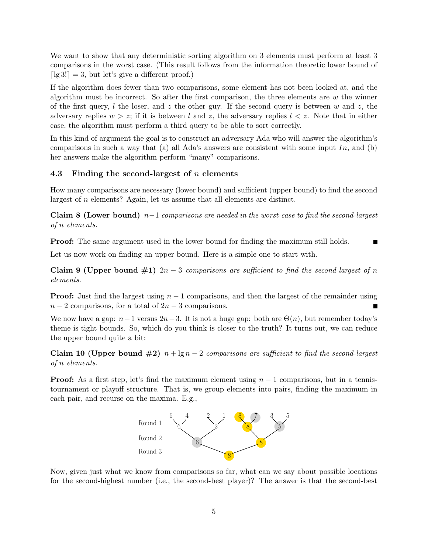We want to show that any deterministic sorting algorithm on 3 elements must perform at least 3 comparisons in the worst case. (This result follows from the information theoretic lower bound of  $\lceil \lg 3! \rceil = 3$ , but let's give a different proof.)

If the algorithm does fewer than two comparisons, some element has not been looked at, and the algorithm must be incorrect. So after the first comparison, the three elements are  $w$  the winner of the first query, l the loser, and z the other guy. If the second query is between w and z, the adversary replies  $w > z$ ; if it is between l and z, the adversary replies  $l < z$ . Note that in either case, the algorithm must perform a third query to be able to sort correctly.

In this kind of argument the goal is to construct an adversary Ada who will answer the algorithm's comparisons in such a way that (a) all Ada's answers are consistent with some input  $In$ , and (b) her answers make the algorithm perform "many" comparisons.

#### 4.3 Finding the second-largest of  $n$  elements

How many comparisons are necessary (lower bound) and sufficient (upper bound) to find the second largest of n elements? Again, let us assume that all elements are distinct.

Claim 8 (Lower bound)  $n-1$  comparisons are needed in the worst-case to find the second-largest of n elements.

**Proof:** The same argument used in the lower bound for finding the maximum still holds. П

Let us now work on finding an upper bound. Here is a simple one to start with.

Claim 9 (Upper bound  $\#1$ )  $2n-3$  comparisons are sufficient to find the second-largest of n elements.

**Proof:** Just find the largest using  $n - 1$  comparisons, and then the largest of the remainder using  $n-2$  comparisons, for a total of  $2n-3$  comparisons.

We now have a gap:  $n-1$  versus  $2n-3$ . It is not a huge gap: both are  $\Theta(n)$ , but remember today's theme is tight bounds. So, which do you think is closer to the truth? It turns out, we can reduce the upper bound quite a bit:

Claim 10 (Upper bound  $\#2$ )  $n + \lg n - 2$  comparisons are sufficient to find the second-largest of n elements.

**Proof:** As a first step, let's find the maximum element using  $n-1$  comparisons, but in a tennistournament or playoff structure. That is, we group elements into pairs, finding the maximum in each pair, and recurse on the maxima. E.g.,



Now, given just what we know from comparisons so far, what can we say about possible locations for the second-highest number (i.e., the second-best player)? The answer is that the second-best